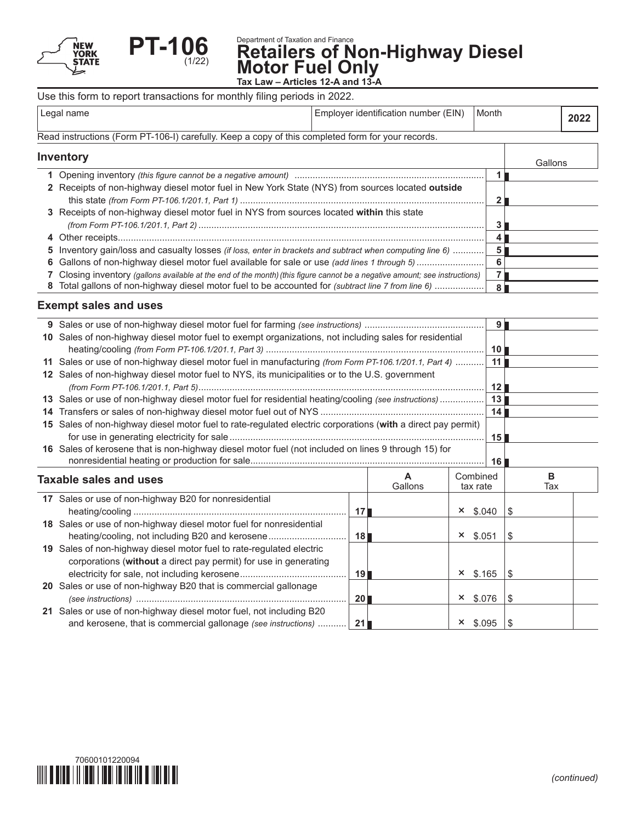



**Department of Taxation and Finance**<br>**Retaile<u>r</u>s of Non-Highway Diesel Motor Fuel Only**

**Tax Law – Articles 12-A and 13-A**

|                                                                                                   | Use this form to report transactions for monthly filing periods in 2022.                         |                                      |       |         |      |  |
|---------------------------------------------------------------------------------------------------|--------------------------------------------------------------------------------------------------|--------------------------------------|-------|---------|------|--|
| Legal name                                                                                        |                                                                                                  | Employer identification number (EIN) | Month |         | 2022 |  |
| Read instructions (Form PT-106-I) carefully. Keep a copy of this completed form for your records. |                                                                                                  |                                      |       |         |      |  |
| Inventory                                                                                         |                                                                                                  |                                      |       | Gallons |      |  |
|                                                                                                   |                                                                                                  |                                      |       |         |      |  |
|                                                                                                   | 2 Receipts of non-highway diesel motor fuel in New York State (NYS) from sources located outside |                                      |       |         |      |  |
|                                                                                                   | 3 Receipts of non-highway diesel motor fuel in NYS from sources located within this state        |                                      |       |         |      |  |

| 5 Inventory gain/loss and casualty losses (if loss, enter in brackets and subtract when computing line 6)  5                |              |  |
|-----------------------------------------------------------------------------------------------------------------------------|--------------|--|
|                                                                                                                             |              |  |
| 7 Closing inventory (gallons available at the end of the month) (this figure cannot be a negative amount; see instructions) |              |  |
| 8 Total gallons of non-highway diesel motor fuel to be accounted for (subtract line 7 from line 6)                          | - 8 <b>-</b> |  |

# **Exempt sales and uses**

|    |                                                                                                                                      |                 |         |                 | <b>9</b> l      |     |  |
|----|--------------------------------------------------------------------------------------------------------------------------------------|-----------------|---------|-----------------|-----------------|-----|--|
|    | 10 Sales of non-highway diesel motor fuel to exempt organizations, not including sales for residential                               |                 |         |                 |                 |     |  |
|    |                                                                                                                                      |                 |         |                 | 10 <sup>1</sup> |     |  |
|    | 11 Sales or use of non-highway diesel motor fuel in manufacturing (from Form PT-106.1/201.1, Part 4)                                 |                 |         |                 | 111             |     |  |
|    | 12 Sales of non-highway diesel motor fuel to NYS, its municipalities or to the U.S. government                                       |                 |         |                 |                 |     |  |
|    |                                                                                                                                      |                 |         |                 | 12 <sup>1</sup> |     |  |
|    | 13 Sales or use of non-highway diesel motor fuel for residential heating/cooling (see instructions)                                  |                 |         |                 | 13              |     |  |
| 14 |                                                                                                                                      |                 |         |                 | 14              |     |  |
|    | 15 Sales of non-highway diesel motor fuel to rate-regulated electric corporations (with a direct pay permit)                         |                 |         |                 |                 |     |  |
|    |                                                                                                                                      |                 |         |                 | 15 <sup>1</sup> |     |  |
|    | 16 Sales of kerosene that is non-highway diesel motor fuel (not included on lines 9 through 15) for                                  |                 |         |                 |                 |     |  |
|    |                                                                                                                                      |                 |         |                 | 16              |     |  |
|    |                                                                                                                                      |                 |         |                 |                 |     |  |
|    |                                                                                                                                      |                 | A       | Combined        |                 | B   |  |
|    | <b>Taxable sales and uses</b>                                                                                                        |                 | Gallons | tax rate        |                 | Tax |  |
|    | 17 Sales or use of non-highway B20 for nonresidential                                                                                |                 |         |                 |                 |     |  |
|    |                                                                                                                                      | 17 <sub>l</sub> |         | $\times$ \$.040 |                 | \$  |  |
|    | 18 Sales or use of non-highway diesel motor fuel for nonresidential                                                                  |                 |         |                 |                 |     |  |
|    | heating/cooling, not including B20 and kerosene                                                                                      | 18 <sup>1</sup> |         | $\times$ \$.051 |                 | \$  |  |
|    | 19 Sales of non-highway diesel motor fuel to rate-regulated electric                                                                 |                 |         |                 |                 |     |  |
|    | corporations (without a direct pay permit) for use in generating                                                                     |                 |         |                 |                 |     |  |
|    |                                                                                                                                      | 19              |         | $x$ \$.165      |                 | \$  |  |
|    | 20 Sales or use of non-highway B20 that is commercial gallonage                                                                      |                 |         |                 |                 |     |  |
|    |                                                                                                                                      | 201             |         | $×$ \$.076      |                 | \$  |  |
|    | 21 Sales or use of non-highway diesel motor fuel, not including B20<br>and kerosene, that is commercial gallonage (see instructions) |                 |         |                 |                 |     |  |